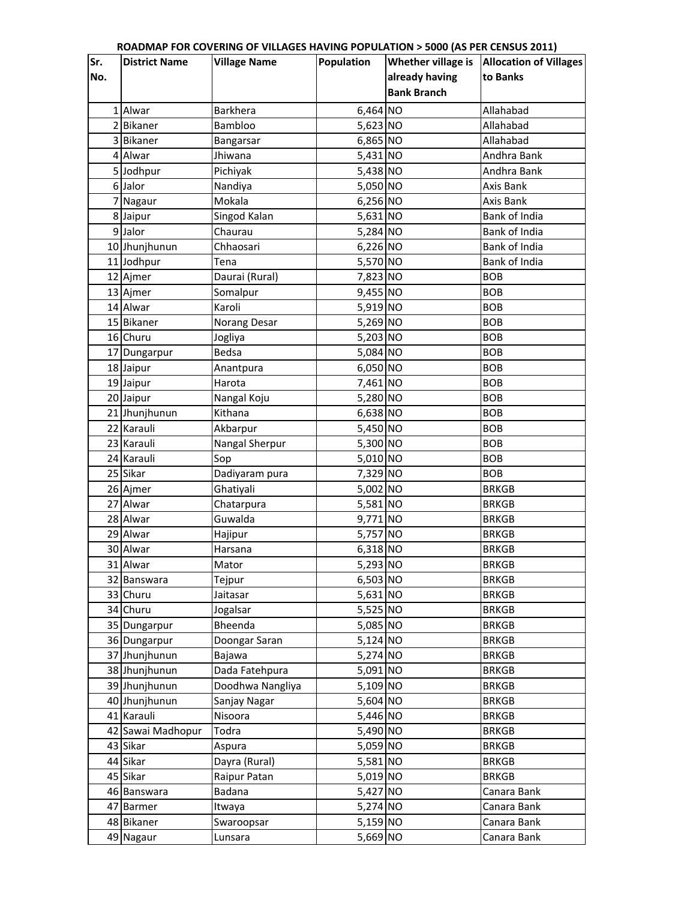| Sr. | <b>District Name</b> | <b>Village Name</b>  | Population | Whether village is | <b>Allocation of Villages</b> |
|-----|----------------------|----------------------|------------|--------------------|-------------------------------|
| No. |                      |                      |            | already having     | to Banks                      |
|     |                      |                      |            | <b>Bank Branch</b> |                               |
|     | 1 Alwar              | Barkhera             | 6,464 NO   |                    | Allahabad                     |
|     | 2 Bikaner            | Bambloo              | 5,623 NO   |                    | Allahabad                     |
|     | 3 Bikaner            |                      | 6,865 NO   |                    | Allahabad                     |
|     | 4 Alwar              | Bangarsar<br>Jhiwana |            |                    | Andhra Bank                   |
|     |                      |                      | 5,431 NO   |                    |                               |
|     | 5 Jodhpur            | Pichiyak             | 5,438 NO   |                    | Andhra Bank                   |
|     | 6 Jalor              | Nandiya              | 5,050 NO   |                    | Axis Bank                     |
|     | 7 Nagaur             | Mokala               | 6,256 NO   |                    | Axis Bank                     |
|     | 8 Jaipur             | Singod Kalan         | 5,631 NO   |                    | <b>Bank of India</b>          |
|     | 9 Jalor              | Chaurau              | 5,284 NO   |                    | <b>Bank of India</b>          |
|     | 10 Jhunjhunun        | Chhaosari            | 6,226 NO   |                    | Bank of India                 |
|     | 11 Jodhpur           | Tena                 | 5,570 NO   |                    | <b>Bank of India</b>          |
|     | 12 Ajmer             | Daurai (Rural)       | 7,823 NO   |                    | <b>BOB</b>                    |
|     | 13 Ajmer             | Somalpur             | 9,455 NO   |                    | <b>BOB</b>                    |
|     | 14 Alwar             | Karoli               | 5,919 NO   |                    | <b>BOB</b>                    |
|     | 15 Bikaner           | Norang Desar         | 5,269 NO   |                    | <b>BOB</b>                    |
|     | 16 Churu             | Jogliya              | 5,203 NO   |                    | <b>BOB</b>                    |
|     | 17 Dungarpur         | <b>Bedsa</b>         | 5,084 NO   |                    | <b>BOB</b>                    |
|     | 18 Jaipur            | Anantpura            | 6,050 NO   |                    | <b>BOB</b>                    |
|     | 19 Jaipur            | Harota               | 7,461 NO   |                    | <b>BOB</b>                    |
|     | 20 Jaipur            | Nangal Koju          | 5,280 NO   |                    | <b>BOB</b>                    |
|     | 21 Jhunjhunun        | Kithana              | 6,638 NO   |                    | <b>BOB</b>                    |
|     | 22 Karauli           | Akbarpur             | 5,450 NO   |                    | <b>BOB</b>                    |
|     | 23 Karauli           | Nangal Sherpur       | 5,300 NO   |                    | <b>BOB</b>                    |
|     | 24 Karauli           | Sop                  | 5,010 NO   |                    | <b>BOB</b>                    |
|     | 25 Sikar             | Dadiyaram pura       | 7,329 NO   |                    | <b>BOB</b>                    |
|     | 26 Ajmer             | Ghatiyali            | 5,002 NO   |                    | <b>BRKGB</b>                  |
|     | 27 Alwar             | Chatarpura           | 5,581 NO   |                    | <b>BRKGB</b>                  |
|     | 28 Alwar             | Guwalda              | 9,771 NO   |                    | <b>BRKGB</b>                  |
|     | 29 Alwar             | Hajipur              | 5,757 NO   |                    | <b>BRKGB</b>                  |
|     | 30 Alwar             | Harsana              | 6,318 NO   |                    | <b>BRKGB</b>                  |
|     | 31 Alwar             | Mator                | 5,293 NO   |                    | <b>BRKGB</b>                  |
|     | 32 Banswara          | Tejpur               | 6,503 NO   |                    | <b>BRKGB</b>                  |
|     | 33 Churu             | Jaitasar             | 5,631 NO   |                    | <b>BRKGB</b>                  |
|     | 34 Churu             | Jogalsar             | 5,525 NO   |                    | <b>BRKGB</b>                  |
|     | 35 Dungarpur         | Bheenda              | 5,085 NO   |                    | <b>BRKGB</b>                  |
|     | 36 Dungarpur         | Doongar Saran        | 5,124 NO   |                    | <b>BRKGB</b>                  |
|     | 37 Jhunjhunun        | Bajawa               | 5,274 NO   |                    | <b>BRKGB</b>                  |
|     | 38 Jhunjhunun        | Dada Fatehpura       | 5,091 NO   |                    | <b>BRKGB</b>                  |
|     | 39 Jhunjhunun        | Doodhwa Nangliya     | 5,109 NO   |                    | <b>BRKGB</b>                  |
|     | 40 Jhunjhunun        | Sanjay Nagar         | 5,604 NO   |                    | <b>BRKGB</b>                  |
|     | 41 Karauli           | Nisoora              | 5,446 NO   |                    | <b>BRKGB</b>                  |
|     | 42 Sawai Madhopur    | Todra                | 5,490 NO   |                    | <b>BRKGB</b>                  |
|     | 43 Sikar             | Aspura               | 5,059 NO   |                    | <b>BRKGB</b>                  |
|     | 44 Sikar             | Dayra (Rural)        | 5,581 NO   |                    | <b>BRKGB</b>                  |
|     | 45 Sikar             | Raipur Patan         | 5,019 NO   |                    | <b>BRKGB</b>                  |
|     | 46 Banswara          | Badana               | 5,427 NO   |                    | Canara Bank                   |
|     | 47 Barmer            | Itwaya               | 5,274 NO   |                    | Canara Bank                   |
|     | 48 Bikaner           | Swaroopsar           | 5,159 NO   |                    | Canara Bank                   |
|     | 49 Nagaur            | Lunsara              | 5,669 NO   |                    | Canara Bank                   |
|     |                      |                      |            |                    |                               |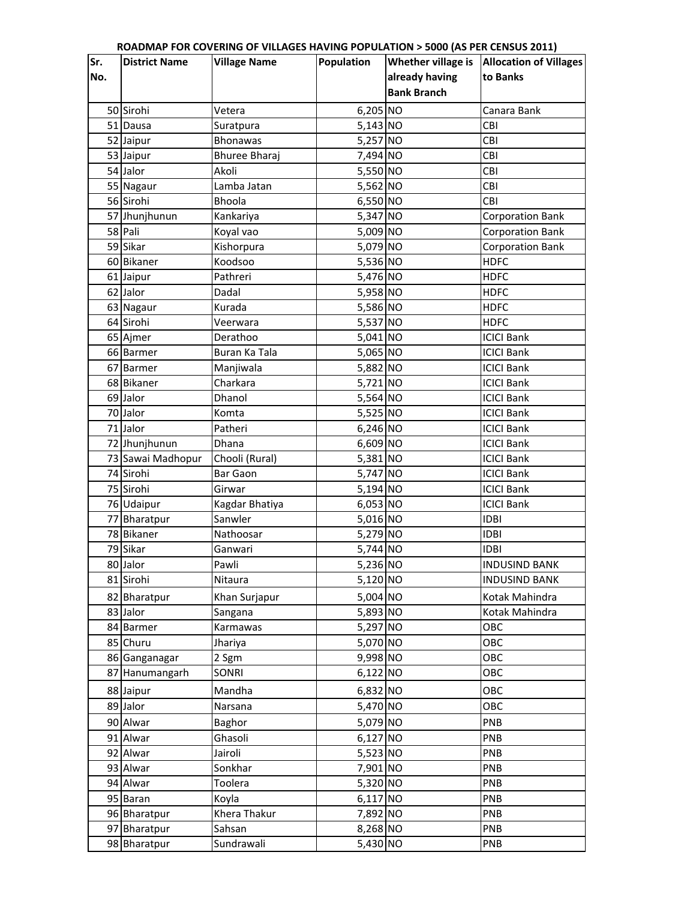| already having<br>No.<br>to Banks<br><b>Bank Branch</b><br>$6,205$ NO<br>50 Sirohi<br>Vetera<br>Canara Bank<br>5,143 NO<br>51 Dausa<br>CBI<br>Suratpura<br>5,257 NO<br>CBI<br>52 Jaipur<br><b>Bhonawas</b><br>53 Jaipur<br><b>Bhuree Bharaj</b><br>7,494 NO<br>CBI<br>54 Jalor<br>5,550 NO<br>CBI<br>Akoli<br>5,562 NO<br>Lamba Jatan<br>CBI<br>55 Nagaur<br>56 Sirohi<br>Bhoola<br>6,550 NO<br><b>CBI</b><br>57 Jhunjhunun<br>5,347 NO<br>Kankariya<br><b>Corporation Bank</b><br>58 Pali<br>Koyal vao<br>5,009 NO<br><b>Corporation Bank</b><br>5,079 NO<br>59 Sikar<br><b>Corporation Bank</b><br>Kishorpura<br>Koodsoo<br>5,536 NO<br><b>HDFC</b><br>60 Bikaner<br>5,476 NO<br>61 Jaipur<br>Pathreri<br><b>HDFC</b><br>62 Jalor<br>Dadal<br>5,958 NO<br><b>HDFC</b><br>5,586 NO<br>63 Nagaur<br>Kurada<br><b>HDFC</b><br>64 Sirohi<br>5,537 NO<br><b>HDFC</b><br>Veerwara<br>5,041 NO<br>65 Ajmer<br>Derathoo<br><b>ICICI Bank</b><br>Buran Ka Tala<br>5,065 NO<br><b>ICICI Bank</b><br>66 Barmer<br>5,882 NO<br><b>ICICI Bank</b><br>Manjiwala<br>67 Barmer<br>Charkara<br>5,721 NO<br>68 Bikaner<br><b>ICICI Bank</b><br>5,564 NO<br>69 Jalor<br>Dhanol<br><b>ICICI Bank</b><br>70 Jalor<br>5,525 NO<br>Komta<br><b>ICICI Bank</b><br><b>ICICI Bank</b><br>71 Jalor<br>Patheri<br>6,246 NO<br>72 Jhunjhunun<br>6,609 NO<br><b>ICICI Bank</b><br>Dhana<br>5,381 NO<br>73 Sawai Madhopur<br>Chooli (Rural)<br><b>ICICI Bank</b><br>74 Sirohi<br><b>Bar Gaon</b><br>5,747 NO<br><b>ICICI Bank</b><br>75 Sirohi<br>5,194 NO<br><b>ICICI Bank</b><br>Girwar<br>6,053 NO<br><b>ICICI Bank</b><br>76 Udaipur<br>Kagdar Bhatiya<br>Sanwler<br>5,016 NO<br><b>IDBI</b><br>77 Bharatpur<br>5,279 NO<br>78 Bikaner<br><b>IDBI</b><br>Nathoosar<br>79 Sikar<br>5,744 NO<br><b>IDBI</b><br>Ganwari<br>Pawli<br><b>INDUSIND BANK</b><br>80 Jalor<br>5,236 NO<br>81 Sirohi<br>5,120 NO<br><b>INDUSIND BANK</b><br>Nitaura<br>5,004 NO<br>82 Bharatpur<br>Kotak Mahindra<br>Khan Surjapur<br>5,893 NO<br>83 Jalor<br>Kotak Mahindra<br>Sangana<br>5,297 NO<br>OBC<br>84 Barmer<br>Karmawas<br>5,070 NO<br>OBC<br>85 Churu<br>Jhariya<br>9,998 NO<br>OBC<br>86 Ganganagar<br>2 Sgm<br>OBC<br><b>SONRI</b><br>6,122 NO<br>87 Hanumangarh<br>6,832 NO<br>OBC<br>88 Jaipur<br>Mandha<br>89 Jalor<br>5,470 NO<br>OBC<br>Narsana<br>90 Alwar<br>5,079 NO<br>PNB<br>Baghor<br>$6,127$ NO<br>PNB<br>91 Alwar<br>Ghasoli<br>5,523 NO<br>92 Alwar<br>Jairoli<br>PNB<br>PNB<br>93 Alwar<br>Sonkhar<br>7,901 NO<br>94 Alwar<br>5,320 NO<br>PNB<br>Toolera<br>6,117 NO<br>PNB<br>95 Baran<br>Koyla<br>Khera Thakur<br>7,892 NO<br>PNB<br>96 Bharatpur<br>8,268 NO<br>97 Bharatpur<br>Sahsan<br>PNB<br>98 Bharatpur<br>5,430 NO | Sr. | <b>District Name</b> | <b>Village Name</b> | Population | THON P 3000 (AS I EN CENSOS E011)<br>Whether village is | <b>Allocation of Villages</b> |
|---------------------------------------------------------------------------------------------------------------------------------------------------------------------------------------------------------------------------------------------------------------------------------------------------------------------------------------------------------------------------------------------------------------------------------------------------------------------------------------------------------------------------------------------------------------------------------------------------------------------------------------------------------------------------------------------------------------------------------------------------------------------------------------------------------------------------------------------------------------------------------------------------------------------------------------------------------------------------------------------------------------------------------------------------------------------------------------------------------------------------------------------------------------------------------------------------------------------------------------------------------------------------------------------------------------------------------------------------------------------------------------------------------------------------------------------------------------------------------------------------------------------------------------------------------------------------------------------------------------------------------------------------------------------------------------------------------------------------------------------------------------------------------------------------------------------------------------------------------------------------------------------------------------------------------------------------------------------------------------------------------------------------------------------------------------------------------------------------------------------------------------------------------------------------------------------------------------------------------------------------------------------------------------------------------------------------------------------------------------------------------------------------------------------------------------------------------------------------------------------------------------------------------------------------------------------------------------------------------------------------------------------------------------------------------------------------------|-----|----------------------|---------------------|------------|---------------------------------------------------------|-------------------------------|
|                                                                                                                                                                                                                                                                                                                                                                                                                                                                                                                                                                                                                                                                                                                                                                                                                                                                                                                                                                                                                                                                                                                                                                                                                                                                                                                                                                                                                                                                                                                                                                                                                                                                                                                                                                                                                                                                                                                                                                                                                                                                                                                                                                                                                                                                                                                                                                                                                                                                                                                                                                                                                                                                                                         |     |                      |                     |            |                                                         |                               |
|                                                                                                                                                                                                                                                                                                                                                                                                                                                                                                                                                                                                                                                                                                                                                                                                                                                                                                                                                                                                                                                                                                                                                                                                                                                                                                                                                                                                                                                                                                                                                                                                                                                                                                                                                                                                                                                                                                                                                                                                                                                                                                                                                                                                                                                                                                                                                                                                                                                                                                                                                                                                                                                                                                         |     |                      |                     |            |                                                         |                               |
|                                                                                                                                                                                                                                                                                                                                                                                                                                                                                                                                                                                                                                                                                                                                                                                                                                                                                                                                                                                                                                                                                                                                                                                                                                                                                                                                                                                                                                                                                                                                                                                                                                                                                                                                                                                                                                                                                                                                                                                                                                                                                                                                                                                                                                                                                                                                                                                                                                                                                                                                                                                                                                                                                                         |     |                      |                     |            |                                                         |                               |
|                                                                                                                                                                                                                                                                                                                                                                                                                                                                                                                                                                                                                                                                                                                                                                                                                                                                                                                                                                                                                                                                                                                                                                                                                                                                                                                                                                                                                                                                                                                                                                                                                                                                                                                                                                                                                                                                                                                                                                                                                                                                                                                                                                                                                                                                                                                                                                                                                                                                                                                                                                                                                                                                                                         |     |                      |                     |            |                                                         |                               |
|                                                                                                                                                                                                                                                                                                                                                                                                                                                                                                                                                                                                                                                                                                                                                                                                                                                                                                                                                                                                                                                                                                                                                                                                                                                                                                                                                                                                                                                                                                                                                                                                                                                                                                                                                                                                                                                                                                                                                                                                                                                                                                                                                                                                                                                                                                                                                                                                                                                                                                                                                                                                                                                                                                         |     |                      |                     |            |                                                         |                               |
|                                                                                                                                                                                                                                                                                                                                                                                                                                                                                                                                                                                                                                                                                                                                                                                                                                                                                                                                                                                                                                                                                                                                                                                                                                                                                                                                                                                                                                                                                                                                                                                                                                                                                                                                                                                                                                                                                                                                                                                                                                                                                                                                                                                                                                                                                                                                                                                                                                                                                                                                                                                                                                                                                                         |     |                      |                     |            |                                                         |                               |
|                                                                                                                                                                                                                                                                                                                                                                                                                                                                                                                                                                                                                                                                                                                                                                                                                                                                                                                                                                                                                                                                                                                                                                                                                                                                                                                                                                                                                                                                                                                                                                                                                                                                                                                                                                                                                                                                                                                                                                                                                                                                                                                                                                                                                                                                                                                                                                                                                                                                                                                                                                                                                                                                                                         |     |                      |                     |            |                                                         |                               |
|                                                                                                                                                                                                                                                                                                                                                                                                                                                                                                                                                                                                                                                                                                                                                                                                                                                                                                                                                                                                                                                                                                                                                                                                                                                                                                                                                                                                                                                                                                                                                                                                                                                                                                                                                                                                                                                                                                                                                                                                                                                                                                                                                                                                                                                                                                                                                                                                                                                                                                                                                                                                                                                                                                         |     |                      |                     |            |                                                         |                               |
|                                                                                                                                                                                                                                                                                                                                                                                                                                                                                                                                                                                                                                                                                                                                                                                                                                                                                                                                                                                                                                                                                                                                                                                                                                                                                                                                                                                                                                                                                                                                                                                                                                                                                                                                                                                                                                                                                                                                                                                                                                                                                                                                                                                                                                                                                                                                                                                                                                                                                                                                                                                                                                                                                                         |     |                      |                     |            |                                                         |                               |
|                                                                                                                                                                                                                                                                                                                                                                                                                                                                                                                                                                                                                                                                                                                                                                                                                                                                                                                                                                                                                                                                                                                                                                                                                                                                                                                                                                                                                                                                                                                                                                                                                                                                                                                                                                                                                                                                                                                                                                                                                                                                                                                                                                                                                                                                                                                                                                                                                                                                                                                                                                                                                                                                                                         |     |                      |                     |            |                                                         |                               |
|                                                                                                                                                                                                                                                                                                                                                                                                                                                                                                                                                                                                                                                                                                                                                                                                                                                                                                                                                                                                                                                                                                                                                                                                                                                                                                                                                                                                                                                                                                                                                                                                                                                                                                                                                                                                                                                                                                                                                                                                                                                                                                                                                                                                                                                                                                                                                                                                                                                                                                                                                                                                                                                                                                         |     |                      |                     |            |                                                         |                               |
|                                                                                                                                                                                                                                                                                                                                                                                                                                                                                                                                                                                                                                                                                                                                                                                                                                                                                                                                                                                                                                                                                                                                                                                                                                                                                                                                                                                                                                                                                                                                                                                                                                                                                                                                                                                                                                                                                                                                                                                                                                                                                                                                                                                                                                                                                                                                                                                                                                                                                                                                                                                                                                                                                                         |     |                      |                     |            |                                                         |                               |
|                                                                                                                                                                                                                                                                                                                                                                                                                                                                                                                                                                                                                                                                                                                                                                                                                                                                                                                                                                                                                                                                                                                                                                                                                                                                                                                                                                                                                                                                                                                                                                                                                                                                                                                                                                                                                                                                                                                                                                                                                                                                                                                                                                                                                                                                                                                                                                                                                                                                                                                                                                                                                                                                                                         |     |                      |                     |            |                                                         |                               |
|                                                                                                                                                                                                                                                                                                                                                                                                                                                                                                                                                                                                                                                                                                                                                                                                                                                                                                                                                                                                                                                                                                                                                                                                                                                                                                                                                                                                                                                                                                                                                                                                                                                                                                                                                                                                                                                                                                                                                                                                                                                                                                                                                                                                                                                                                                                                                                                                                                                                                                                                                                                                                                                                                                         |     |                      |                     |            |                                                         |                               |
|                                                                                                                                                                                                                                                                                                                                                                                                                                                                                                                                                                                                                                                                                                                                                                                                                                                                                                                                                                                                                                                                                                                                                                                                                                                                                                                                                                                                                                                                                                                                                                                                                                                                                                                                                                                                                                                                                                                                                                                                                                                                                                                                                                                                                                                                                                                                                                                                                                                                                                                                                                                                                                                                                                         |     |                      |                     |            |                                                         |                               |
|                                                                                                                                                                                                                                                                                                                                                                                                                                                                                                                                                                                                                                                                                                                                                                                                                                                                                                                                                                                                                                                                                                                                                                                                                                                                                                                                                                                                                                                                                                                                                                                                                                                                                                                                                                                                                                                                                                                                                                                                                                                                                                                                                                                                                                                                                                                                                                                                                                                                                                                                                                                                                                                                                                         |     |                      |                     |            |                                                         |                               |
|                                                                                                                                                                                                                                                                                                                                                                                                                                                                                                                                                                                                                                                                                                                                                                                                                                                                                                                                                                                                                                                                                                                                                                                                                                                                                                                                                                                                                                                                                                                                                                                                                                                                                                                                                                                                                                                                                                                                                                                                                                                                                                                                                                                                                                                                                                                                                                                                                                                                                                                                                                                                                                                                                                         |     |                      |                     |            |                                                         |                               |
|                                                                                                                                                                                                                                                                                                                                                                                                                                                                                                                                                                                                                                                                                                                                                                                                                                                                                                                                                                                                                                                                                                                                                                                                                                                                                                                                                                                                                                                                                                                                                                                                                                                                                                                                                                                                                                                                                                                                                                                                                                                                                                                                                                                                                                                                                                                                                                                                                                                                                                                                                                                                                                                                                                         |     |                      |                     |            |                                                         |                               |
|                                                                                                                                                                                                                                                                                                                                                                                                                                                                                                                                                                                                                                                                                                                                                                                                                                                                                                                                                                                                                                                                                                                                                                                                                                                                                                                                                                                                                                                                                                                                                                                                                                                                                                                                                                                                                                                                                                                                                                                                                                                                                                                                                                                                                                                                                                                                                                                                                                                                                                                                                                                                                                                                                                         |     |                      |                     |            |                                                         |                               |
|                                                                                                                                                                                                                                                                                                                                                                                                                                                                                                                                                                                                                                                                                                                                                                                                                                                                                                                                                                                                                                                                                                                                                                                                                                                                                                                                                                                                                                                                                                                                                                                                                                                                                                                                                                                                                                                                                                                                                                                                                                                                                                                                                                                                                                                                                                                                                                                                                                                                                                                                                                                                                                                                                                         |     |                      |                     |            |                                                         |                               |
|                                                                                                                                                                                                                                                                                                                                                                                                                                                                                                                                                                                                                                                                                                                                                                                                                                                                                                                                                                                                                                                                                                                                                                                                                                                                                                                                                                                                                                                                                                                                                                                                                                                                                                                                                                                                                                                                                                                                                                                                                                                                                                                                                                                                                                                                                                                                                                                                                                                                                                                                                                                                                                                                                                         |     |                      |                     |            |                                                         |                               |
|                                                                                                                                                                                                                                                                                                                                                                                                                                                                                                                                                                                                                                                                                                                                                                                                                                                                                                                                                                                                                                                                                                                                                                                                                                                                                                                                                                                                                                                                                                                                                                                                                                                                                                                                                                                                                                                                                                                                                                                                                                                                                                                                                                                                                                                                                                                                                                                                                                                                                                                                                                                                                                                                                                         |     |                      |                     |            |                                                         |                               |
|                                                                                                                                                                                                                                                                                                                                                                                                                                                                                                                                                                                                                                                                                                                                                                                                                                                                                                                                                                                                                                                                                                                                                                                                                                                                                                                                                                                                                                                                                                                                                                                                                                                                                                                                                                                                                                                                                                                                                                                                                                                                                                                                                                                                                                                                                                                                                                                                                                                                                                                                                                                                                                                                                                         |     |                      |                     |            |                                                         |                               |
|                                                                                                                                                                                                                                                                                                                                                                                                                                                                                                                                                                                                                                                                                                                                                                                                                                                                                                                                                                                                                                                                                                                                                                                                                                                                                                                                                                                                                                                                                                                                                                                                                                                                                                                                                                                                                                                                                                                                                                                                                                                                                                                                                                                                                                                                                                                                                                                                                                                                                                                                                                                                                                                                                                         |     |                      |                     |            |                                                         |                               |
|                                                                                                                                                                                                                                                                                                                                                                                                                                                                                                                                                                                                                                                                                                                                                                                                                                                                                                                                                                                                                                                                                                                                                                                                                                                                                                                                                                                                                                                                                                                                                                                                                                                                                                                                                                                                                                                                                                                                                                                                                                                                                                                                                                                                                                                                                                                                                                                                                                                                                                                                                                                                                                                                                                         |     |                      |                     |            |                                                         |                               |
|                                                                                                                                                                                                                                                                                                                                                                                                                                                                                                                                                                                                                                                                                                                                                                                                                                                                                                                                                                                                                                                                                                                                                                                                                                                                                                                                                                                                                                                                                                                                                                                                                                                                                                                                                                                                                                                                                                                                                                                                                                                                                                                                                                                                                                                                                                                                                                                                                                                                                                                                                                                                                                                                                                         |     |                      |                     |            |                                                         |                               |
|                                                                                                                                                                                                                                                                                                                                                                                                                                                                                                                                                                                                                                                                                                                                                                                                                                                                                                                                                                                                                                                                                                                                                                                                                                                                                                                                                                                                                                                                                                                                                                                                                                                                                                                                                                                                                                                                                                                                                                                                                                                                                                                                                                                                                                                                                                                                                                                                                                                                                                                                                                                                                                                                                                         |     |                      |                     |            |                                                         |                               |
|                                                                                                                                                                                                                                                                                                                                                                                                                                                                                                                                                                                                                                                                                                                                                                                                                                                                                                                                                                                                                                                                                                                                                                                                                                                                                                                                                                                                                                                                                                                                                                                                                                                                                                                                                                                                                                                                                                                                                                                                                                                                                                                                                                                                                                                                                                                                                                                                                                                                                                                                                                                                                                                                                                         |     |                      |                     |            |                                                         |                               |
|                                                                                                                                                                                                                                                                                                                                                                                                                                                                                                                                                                                                                                                                                                                                                                                                                                                                                                                                                                                                                                                                                                                                                                                                                                                                                                                                                                                                                                                                                                                                                                                                                                                                                                                                                                                                                                                                                                                                                                                                                                                                                                                                                                                                                                                                                                                                                                                                                                                                                                                                                                                                                                                                                                         |     |                      |                     |            |                                                         |                               |
|                                                                                                                                                                                                                                                                                                                                                                                                                                                                                                                                                                                                                                                                                                                                                                                                                                                                                                                                                                                                                                                                                                                                                                                                                                                                                                                                                                                                                                                                                                                                                                                                                                                                                                                                                                                                                                                                                                                                                                                                                                                                                                                                                                                                                                                                                                                                                                                                                                                                                                                                                                                                                                                                                                         |     |                      |                     |            |                                                         |                               |
|                                                                                                                                                                                                                                                                                                                                                                                                                                                                                                                                                                                                                                                                                                                                                                                                                                                                                                                                                                                                                                                                                                                                                                                                                                                                                                                                                                                                                                                                                                                                                                                                                                                                                                                                                                                                                                                                                                                                                                                                                                                                                                                                                                                                                                                                                                                                                                                                                                                                                                                                                                                                                                                                                                         |     |                      |                     |            |                                                         |                               |
|                                                                                                                                                                                                                                                                                                                                                                                                                                                                                                                                                                                                                                                                                                                                                                                                                                                                                                                                                                                                                                                                                                                                                                                                                                                                                                                                                                                                                                                                                                                                                                                                                                                                                                                                                                                                                                                                                                                                                                                                                                                                                                                                                                                                                                                                                                                                                                                                                                                                                                                                                                                                                                                                                                         |     |                      |                     |            |                                                         |                               |
|                                                                                                                                                                                                                                                                                                                                                                                                                                                                                                                                                                                                                                                                                                                                                                                                                                                                                                                                                                                                                                                                                                                                                                                                                                                                                                                                                                                                                                                                                                                                                                                                                                                                                                                                                                                                                                                                                                                                                                                                                                                                                                                                                                                                                                                                                                                                                                                                                                                                                                                                                                                                                                                                                                         |     |                      |                     |            |                                                         |                               |
|                                                                                                                                                                                                                                                                                                                                                                                                                                                                                                                                                                                                                                                                                                                                                                                                                                                                                                                                                                                                                                                                                                                                                                                                                                                                                                                                                                                                                                                                                                                                                                                                                                                                                                                                                                                                                                                                                                                                                                                                                                                                                                                                                                                                                                                                                                                                                                                                                                                                                                                                                                                                                                                                                                         |     |                      |                     |            |                                                         |                               |
|                                                                                                                                                                                                                                                                                                                                                                                                                                                                                                                                                                                                                                                                                                                                                                                                                                                                                                                                                                                                                                                                                                                                                                                                                                                                                                                                                                                                                                                                                                                                                                                                                                                                                                                                                                                                                                                                                                                                                                                                                                                                                                                                                                                                                                                                                                                                                                                                                                                                                                                                                                                                                                                                                                         |     |                      |                     |            |                                                         |                               |
|                                                                                                                                                                                                                                                                                                                                                                                                                                                                                                                                                                                                                                                                                                                                                                                                                                                                                                                                                                                                                                                                                                                                                                                                                                                                                                                                                                                                                                                                                                                                                                                                                                                                                                                                                                                                                                                                                                                                                                                                                                                                                                                                                                                                                                                                                                                                                                                                                                                                                                                                                                                                                                                                                                         |     |                      |                     |            |                                                         |                               |
|                                                                                                                                                                                                                                                                                                                                                                                                                                                                                                                                                                                                                                                                                                                                                                                                                                                                                                                                                                                                                                                                                                                                                                                                                                                                                                                                                                                                                                                                                                                                                                                                                                                                                                                                                                                                                                                                                                                                                                                                                                                                                                                                                                                                                                                                                                                                                                                                                                                                                                                                                                                                                                                                                                         |     |                      |                     |            |                                                         |                               |
|                                                                                                                                                                                                                                                                                                                                                                                                                                                                                                                                                                                                                                                                                                                                                                                                                                                                                                                                                                                                                                                                                                                                                                                                                                                                                                                                                                                                                                                                                                                                                                                                                                                                                                                                                                                                                                                                                                                                                                                                                                                                                                                                                                                                                                                                                                                                                                                                                                                                                                                                                                                                                                                                                                         |     |                      |                     |            |                                                         |                               |
|                                                                                                                                                                                                                                                                                                                                                                                                                                                                                                                                                                                                                                                                                                                                                                                                                                                                                                                                                                                                                                                                                                                                                                                                                                                                                                                                                                                                                                                                                                                                                                                                                                                                                                                                                                                                                                                                                                                                                                                                                                                                                                                                                                                                                                                                                                                                                                                                                                                                                                                                                                                                                                                                                                         |     |                      |                     |            |                                                         |                               |
|                                                                                                                                                                                                                                                                                                                                                                                                                                                                                                                                                                                                                                                                                                                                                                                                                                                                                                                                                                                                                                                                                                                                                                                                                                                                                                                                                                                                                                                                                                                                                                                                                                                                                                                                                                                                                                                                                                                                                                                                                                                                                                                                                                                                                                                                                                                                                                                                                                                                                                                                                                                                                                                                                                         |     |                      |                     |            |                                                         |                               |
|                                                                                                                                                                                                                                                                                                                                                                                                                                                                                                                                                                                                                                                                                                                                                                                                                                                                                                                                                                                                                                                                                                                                                                                                                                                                                                                                                                                                                                                                                                                                                                                                                                                                                                                                                                                                                                                                                                                                                                                                                                                                                                                                                                                                                                                                                                                                                                                                                                                                                                                                                                                                                                                                                                         |     |                      |                     |            |                                                         |                               |
|                                                                                                                                                                                                                                                                                                                                                                                                                                                                                                                                                                                                                                                                                                                                                                                                                                                                                                                                                                                                                                                                                                                                                                                                                                                                                                                                                                                                                                                                                                                                                                                                                                                                                                                                                                                                                                                                                                                                                                                                                                                                                                                                                                                                                                                                                                                                                                                                                                                                                                                                                                                                                                                                                                         |     |                      |                     |            |                                                         |                               |
|                                                                                                                                                                                                                                                                                                                                                                                                                                                                                                                                                                                                                                                                                                                                                                                                                                                                                                                                                                                                                                                                                                                                                                                                                                                                                                                                                                                                                                                                                                                                                                                                                                                                                                                                                                                                                                                                                                                                                                                                                                                                                                                                                                                                                                                                                                                                                                                                                                                                                                                                                                                                                                                                                                         |     |                      |                     |            |                                                         |                               |
|                                                                                                                                                                                                                                                                                                                                                                                                                                                                                                                                                                                                                                                                                                                                                                                                                                                                                                                                                                                                                                                                                                                                                                                                                                                                                                                                                                                                                                                                                                                                                                                                                                                                                                                                                                                                                                                                                                                                                                                                                                                                                                                                                                                                                                                                                                                                                                                                                                                                                                                                                                                                                                                                                                         |     |                      |                     |            |                                                         |                               |
|                                                                                                                                                                                                                                                                                                                                                                                                                                                                                                                                                                                                                                                                                                                                                                                                                                                                                                                                                                                                                                                                                                                                                                                                                                                                                                                                                                                                                                                                                                                                                                                                                                                                                                                                                                                                                                                                                                                                                                                                                                                                                                                                                                                                                                                                                                                                                                                                                                                                                                                                                                                                                                                                                                         |     |                      |                     |            |                                                         |                               |
|                                                                                                                                                                                                                                                                                                                                                                                                                                                                                                                                                                                                                                                                                                                                                                                                                                                                                                                                                                                                                                                                                                                                                                                                                                                                                                                                                                                                                                                                                                                                                                                                                                                                                                                                                                                                                                                                                                                                                                                                                                                                                                                                                                                                                                                                                                                                                                                                                                                                                                                                                                                                                                                                                                         |     |                      |                     |            |                                                         |                               |
|                                                                                                                                                                                                                                                                                                                                                                                                                                                                                                                                                                                                                                                                                                                                                                                                                                                                                                                                                                                                                                                                                                                                                                                                                                                                                                                                                                                                                                                                                                                                                                                                                                                                                                                                                                                                                                                                                                                                                                                                                                                                                                                                                                                                                                                                                                                                                                                                                                                                                                                                                                                                                                                                                                         |     |                      |                     |            |                                                         |                               |
|                                                                                                                                                                                                                                                                                                                                                                                                                                                                                                                                                                                                                                                                                                                                                                                                                                                                                                                                                                                                                                                                                                                                                                                                                                                                                                                                                                                                                                                                                                                                                                                                                                                                                                                                                                                                                                                                                                                                                                                                                                                                                                                                                                                                                                                                                                                                                                                                                                                                                                                                                                                                                                                                                                         |     |                      |                     |            |                                                         |                               |
|                                                                                                                                                                                                                                                                                                                                                                                                                                                                                                                                                                                                                                                                                                                                                                                                                                                                                                                                                                                                                                                                                                                                                                                                                                                                                                                                                                                                                                                                                                                                                                                                                                                                                                                                                                                                                                                                                                                                                                                                                                                                                                                                                                                                                                                                                                                                                                                                                                                                                                                                                                                                                                                                                                         |     |                      |                     |            |                                                         |                               |
|                                                                                                                                                                                                                                                                                                                                                                                                                                                                                                                                                                                                                                                                                                                                                                                                                                                                                                                                                                                                                                                                                                                                                                                                                                                                                                                                                                                                                                                                                                                                                                                                                                                                                                                                                                                                                                                                                                                                                                                                                                                                                                                                                                                                                                                                                                                                                                                                                                                                                                                                                                                                                                                                                                         |     |                      |                     |            |                                                         |                               |
|                                                                                                                                                                                                                                                                                                                                                                                                                                                                                                                                                                                                                                                                                                                                                                                                                                                                                                                                                                                                                                                                                                                                                                                                                                                                                                                                                                                                                                                                                                                                                                                                                                                                                                                                                                                                                                                                                                                                                                                                                                                                                                                                                                                                                                                                                                                                                                                                                                                                                                                                                                                                                                                                                                         |     |                      |                     |            |                                                         |                               |
|                                                                                                                                                                                                                                                                                                                                                                                                                                                                                                                                                                                                                                                                                                                                                                                                                                                                                                                                                                                                                                                                                                                                                                                                                                                                                                                                                                                                                                                                                                                                                                                                                                                                                                                                                                                                                                                                                                                                                                                                                                                                                                                                                                                                                                                                                                                                                                                                                                                                                                                                                                                                                                                                                                         |     |                      | Sundrawali          |            |                                                         | PNB                           |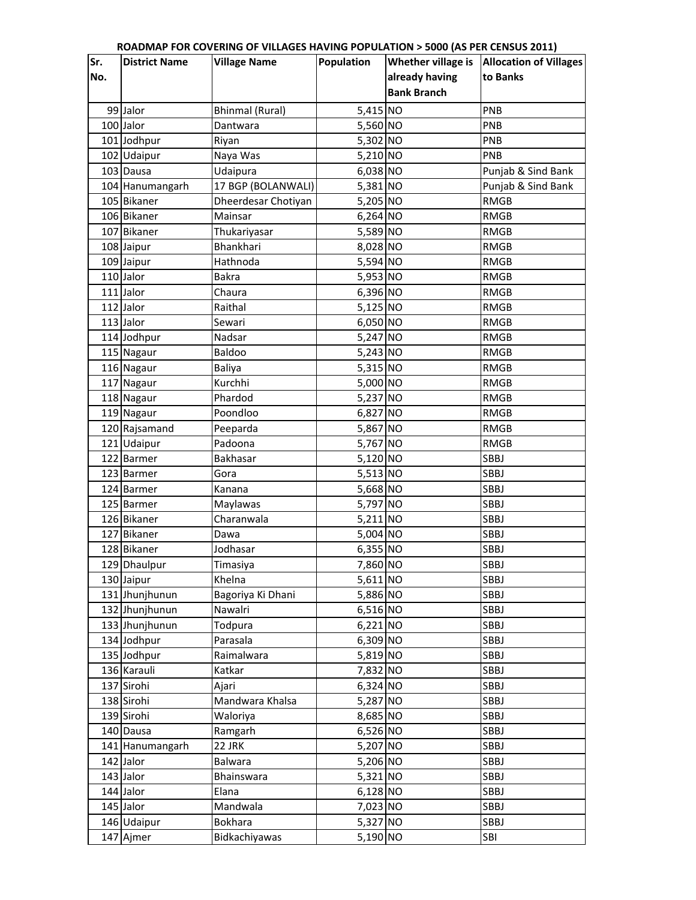| Sr.<br>Whether village is<br><b>Allocation of Villages</b><br><b>District Name</b><br><b>Village Name</b><br>Population<br>already having<br>No.<br>to Banks<br><b>Bank Branch</b><br>5,415 NO<br>99 Jalor<br>PNB<br><b>Bhinmal (Rural)</b><br>100 Jalor<br>5,560 NO<br>PNB<br>Dantwara<br>5,302 NO<br>PNB<br>101 Jodhpur<br>Riyan<br>5,210 NO<br>102 Udaipur<br>Naya Was<br>PNB<br>6,038 NO<br>103 Dausa<br>Punjab & Sind Bank<br>Udaipura<br>104 Hanumangarh<br>17 BGP (BOLANWALI)<br>5,381 NO<br>Punjab & Sind Bank<br>105 Bikaner<br>5,205 NO<br>Dheerdesar Chotiyan<br><b>RMGB</b><br>106 Bikaner<br>6,264 NO<br><b>RMGB</b><br>Mainsar<br>5,589 NO<br>107 Bikaner<br><b>RMGB</b><br>Thukariyasar<br>8,028 NO<br>108 Jaipur<br>Bhankhari<br><b>RMGB</b><br>109 Jaipur<br>5,594 NO<br>Hathnoda<br><b>RMGB</b><br>110 Jalor<br>5,953 NO<br>Bakra<br><b>RMGB</b><br>111 Jalor<br>6,396 NO<br>Chaura<br><b>RMGB</b><br>112 Jalor<br>5,125 NO<br>Raithal<br><b>RMGB</b><br>113 Jalor<br>6,050 NO<br><b>RMGB</b><br>Sewari<br>114 Jodhpur<br>5,247 NO<br>Nadsar<br><b>RMGB</b><br>115 Nagaur<br>Baldoo<br>5,243 NO<br><b>RMGB</b><br>5,315 NO<br>116 Nagaur<br><b>RMGB</b><br><b>Baliya</b><br>5,000 NO<br>Kurchhi<br>117 Nagaur<br><b>RMGB</b><br>5,237 NO<br>Phardod<br>118 Nagaur<br><b>RMGB</b><br>6,827 NO<br>119 Nagaur<br>Poondloo<br><b>RMGB</b><br>5,867 NO<br>120 Rajsamand<br><b>RMGB</b><br>Peeparda<br>121 Udaipur<br>5,767 NO<br>Padoona<br><b>RMGB</b><br>5,120 NO<br>122 Barmer<br>Bakhasar<br>SBBJ<br>5,513 NO<br>SBBJ<br>123 Barmer<br>Gora<br>5,668 NO<br><b>SBBJ</b><br>124 Barmer<br>Kanana<br>125 Barmer<br>5,797 NO<br><b>SBBJ</b><br>Maylawas<br>5,211 NO<br><b>SBBJ</b><br>126 Bikaner<br>Charanwala<br>5,004 NO<br>127 Bikaner<br><b>SBBJ</b><br>Dawa<br>6,355 NO<br>128 Bikaner<br>Jodhasar<br><b>SBBJ</b><br>7,860 NO<br>SBBJ<br>129 Dhaulpur<br>Timasiya<br>5,611 NO<br>SBBJ<br>130 Jaipur<br>Khelna<br>5,886 NO<br>131 Jhunjhunun<br>SBBJ<br>Bagoriya Ki Dhani<br>6,516 NO<br>SBBJ<br>132 Jhunjhunun<br>Nawalri<br>133 Jhunjhunun<br>6,221 NO<br><b>SBBJ</b><br>Todpura<br>6,309 NO<br>134 Jodhpur<br><b>SBBJ</b><br>Parasala |
|------------------------------------------------------------------------------------------------------------------------------------------------------------------------------------------------------------------------------------------------------------------------------------------------------------------------------------------------------------------------------------------------------------------------------------------------------------------------------------------------------------------------------------------------------------------------------------------------------------------------------------------------------------------------------------------------------------------------------------------------------------------------------------------------------------------------------------------------------------------------------------------------------------------------------------------------------------------------------------------------------------------------------------------------------------------------------------------------------------------------------------------------------------------------------------------------------------------------------------------------------------------------------------------------------------------------------------------------------------------------------------------------------------------------------------------------------------------------------------------------------------------------------------------------------------------------------------------------------------------------------------------------------------------------------------------------------------------------------------------------------------------------------------------------------------------------------------------------------------------------------------------------------------------------------------------------------------------------------------------------------------------------------------------------------------------------------------------------------------------------------------------------------------|
|                                                                                                                                                                                                                                                                                                                                                                                                                                                                                                                                                                                                                                                                                                                                                                                                                                                                                                                                                                                                                                                                                                                                                                                                                                                                                                                                                                                                                                                                                                                                                                                                                                                                                                                                                                                                                                                                                                                                                                                                                                                                                                                                                            |
|                                                                                                                                                                                                                                                                                                                                                                                                                                                                                                                                                                                                                                                                                                                                                                                                                                                                                                                                                                                                                                                                                                                                                                                                                                                                                                                                                                                                                                                                                                                                                                                                                                                                                                                                                                                                                                                                                                                                                                                                                                                                                                                                                            |
|                                                                                                                                                                                                                                                                                                                                                                                                                                                                                                                                                                                                                                                                                                                                                                                                                                                                                                                                                                                                                                                                                                                                                                                                                                                                                                                                                                                                                                                                                                                                                                                                                                                                                                                                                                                                                                                                                                                                                                                                                                                                                                                                                            |
|                                                                                                                                                                                                                                                                                                                                                                                                                                                                                                                                                                                                                                                                                                                                                                                                                                                                                                                                                                                                                                                                                                                                                                                                                                                                                                                                                                                                                                                                                                                                                                                                                                                                                                                                                                                                                                                                                                                                                                                                                                                                                                                                                            |
|                                                                                                                                                                                                                                                                                                                                                                                                                                                                                                                                                                                                                                                                                                                                                                                                                                                                                                                                                                                                                                                                                                                                                                                                                                                                                                                                                                                                                                                                                                                                                                                                                                                                                                                                                                                                                                                                                                                                                                                                                                                                                                                                                            |
|                                                                                                                                                                                                                                                                                                                                                                                                                                                                                                                                                                                                                                                                                                                                                                                                                                                                                                                                                                                                                                                                                                                                                                                                                                                                                                                                                                                                                                                                                                                                                                                                                                                                                                                                                                                                                                                                                                                                                                                                                                                                                                                                                            |
|                                                                                                                                                                                                                                                                                                                                                                                                                                                                                                                                                                                                                                                                                                                                                                                                                                                                                                                                                                                                                                                                                                                                                                                                                                                                                                                                                                                                                                                                                                                                                                                                                                                                                                                                                                                                                                                                                                                                                                                                                                                                                                                                                            |
|                                                                                                                                                                                                                                                                                                                                                                                                                                                                                                                                                                                                                                                                                                                                                                                                                                                                                                                                                                                                                                                                                                                                                                                                                                                                                                                                                                                                                                                                                                                                                                                                                                                                                                                                                                                                                                                                                                                                                                                                                                                                                                                                                            |
|                                                                                                                                                                                                                                                                                                                                                                                                                                                                                                                                                                                                                                                                                                                                                                                                                                                                                                                                                                                                                                                                                                                                                                                                                                                                                                                                                                                                                                                                                                                                                                                                                                                                                                                                                                                                                                                                                                                                                                                                                                                                                                                                                            |
|                                                                                                                                                                                                                                                                                                                                                                                                                                                                                                                                                                                                                                                                                                                                                                                                                                                                                                                                                                                                                                                                                                                                                                                                                                                                                                                                                                                                                                                                                                                                                                                                                                                                                                                                                                                                                                                                                                                                                                                                                                                                                                                                                            |
|                                                                                                                                                                                                                                                                                                                                                                                                                                                                                                                                                                                                                                                                                                                                                                                                                                                                                                                                                                                                                                                                                                                                                                                                                                                                                                                                                                                                                                                                                                                                                                                                                                                                                                                                                                                                                                                                                                                                                                                                                                                                                                                                                            |
|                                                                                                                                                                                                                                                                                                                                                                                                                                                                                                                                                                                                                                                                                                                                                                                                                                                                                                                                                                                                                                                                                                                                                                                                                                                                                                                                                                                                                                                                                                                                                                                                                                                                                                                                                                                                                                                                                                                                                                                                                                                                                                                                                            |
|                                                                                                                                                                                                                                                                                                                                                                                                                                                                                                                                                                                                                                                                                                                                                                                                                                                                                                                                                                                                                                                                                                                                                                                                                                                                                                                                                                                                                                                                                                                                                                                                                                                                                                                                                                                                                                                                                                                                                                                                                                                                                                                                                            |
|                                                                                                                                                                                                                                                                                                                                                                                                                                                                                                                                                                                                                                                                                                                                                                                                                                                                                                                                                                                                                                                                                                                                                                                                                                                                                                                                                                                                                                                                                                                                                                                                                                                                                                                                                                                                                                                                                                                                                                                                                                                                                                                                                            |
|                                                                                                                                                                                                                                                                                                                                                                                                                                                                                                                                                                                                                                                                                                                                                                                                                                                                                                                                                                                                                                                                                                                                                                                                                                                                                                                                                                                                                                                                                                                                                                                                                                                                                                                                                                                                                                                                                                                                                                                                                                                                                                                                                            |
|                                                                                                                                                                                                                                                                                                                                                                                                                                                                                                                                                                                                                                                                                                                                                                                                                                                                                                                                                                                                                                                                                                                                                                                                                                                                                                                                                                                                                                                                                                                                                                                                                                                                                                                                                                                                                                                                                                                                                                                                                                                                                                                                                            |
|                                                                                                                                                                                                                                                                                                                                                                                                                                                                                                                                                                                                                                                                                                                                                                                                                                                                                                                                                                                                                                                                                                                                                                                                                                                                                                                                                                                                                                                                                                                                                                                                                                                                                                                                                                                                                                                                                                                                                                                                                                                                                                                                                            |
|                                                                                                                                                                                                                                                                                                                                                                                                                                                                                                                                                                                                                                                                                                                                                                                                                                                                                                                                                                                                                                                                                                                                                                                                                                                                                                                                                                                                                                                                                                                                                                                                                                                                                                                                                                                                                                                                                                                                                                                                                                                                                                                                                            |
|                                                                                                                                                                                                                                                                                                                                                                                                                                                                                                                                                                                                                                                                                                                                                                                                                                                                                                                                                                                                                                                                                                                                                                                                                                                                                                                                                                                                                                                                                                                                                                                                                                                                                                                                                                                                                                                                                                                                                                                                                                                                                                                                                            |
|                                                                                                                                                                                                                                                                                                                                                                                                                                                                                                                                                                                                                                                                                                                                                                                                                                                                                                                                                                                                                                                                                                                                                                                                                                                                                                                                                                                                                                                                                                                                                                                                                                                                                                                                                                                                                                                                                                                                                                                                                                                                                                                                                            |
|                                                                                                                                                                                                                                                                                                                                                                                                                                                                                                                                                                                                                                                                                                                                                                                                                                                                                                                                                                                                                                                                                                                                                                                                                                                                                                                                                                                                                                                                                                                                                                                                                                                                                                                                                                                                                                                                                                                                                                                                                                                                                                                                                            |
|                                                                                                                                                                                                                                                                                                                                                                                                                                                                                                                                                                                                                                                                                                                                                                                                                                                                                                                                                                                                                                                                                                                                                                                                                                                                                                                                                                                                                                                                                                                                                                                                                                                                                                                                                                                                                                                                                                                                                                                                                                                                                                                                                            |
|                                                                                                                                                                                                                                                                                                                                                                                                                                                                                                                                                                                                                                                                                                                                                                                                                                                                                                                                                                                                                                                                                                                                                                                                                                                                                                                                                                                                                                                                                                                                                                                                                                                                                                                                                                                                                                                                                                                                                                                                                                                                                                                                                            |
|                                                                                                                                                                                                                                                                                                                                                                                                                                                                                                                                                                                                                                                                                                                                                                                                                                                                                                                                                                                                                                                                                                                                                                                                                                                                                                                                                                                                                                                                                                                                                                                                                                                                                                                                                                                                                                                                                                                                                                                                                                                                                                                                                            |
|                                                                                                                                                                                                                                                                                                                                                                                                                                                                                                                                                                                                                                                                                                                                                                                                                                                                                                                                                                                                                                                                                                                                                                                                                                                                                                                                                                                                                                                                                                                                                                                                                                                                                                                                                                                                                                                                                                                                                                                                                                                                                                                                                            |
|                                                                                                                                                                                                                                                                                                                                                                                                                                                                                                                                                                                                                                                                                                                                                                                                                                                                                                                                                                                                                                                                                                                                                                                                                                                                                                                                                                                                                                                                                                                                                                                                                                                                                                                                                                                                                                                                                                                                                                                                                                                                                                                                                            |
|                                                                                                                                                                                                                                                                                                                                                                                                                                                                                                                                                                                                                                                                                                                                                                                                                                                                                                                                                                                                                                                                                                                                                                                                                                                                                                                                                                                                                                                                                                                                                                                                                                                                                                                                                                                                                                                                                                                                                                                                                                                                                                                                                            |
|                                                                                                                                                                                                                                                                                                                                                                                                                                                                                                                                                                                                                                                                                                                                                                                                                                                                                                                                                                                                                                                                                                                                                                                                                                                                                                                                                                                                                                                                                                                                                                                                                                                                                                                                                                                                                                                                                                                                                                                                                                                                                                                                                            |
|                                                                                                                                                                                                                                                                                                                                                                                                                                                                                                                                                                                                                                                                                                                                                                                                                                                                                                                                                                                                                                                                                                                                                                                                                                                                                                                                                                                                                                                                                                                                                                                                                                                                                                                                                                                                                                                                                                                                                                                                                                                                                                                                                            |
|                                                                                                                                                                                                                                                                                                                                                                                                                                                                                                                                                                                                                                                                                                                                                                                                                                                                                                                                                                                                                                                                                                                                                                                                                                                                                                                                                                                                                                                                                                                                                                                                                                                                                                                                                                                                                                                                                                                                                                                                                                                                                                                                                            |
|                                                                                                                                                                                                                                                                                                                                                                                                                                                                                                                                                                                                                                                                                                                                                                                                                                                                                                                                                                                                                                                                                                                                                                                                                                                                                                                                                                                                                                                                                                                                                                                                                                                                                                                                                                                                                                                                                                                                                                                                                                                                                                                                                            |
|                                                                                                                                                                                                                                                                                                                                                                                                                                                                                                                                                                                                                                                                                                                                                                                                                                                                                                                                                                                                                                                                                                                                                                                                                                                                                                                                                                                                                                                                                                                                                                                                                                                                                                                                                                                                                                                                                                                                                                                                                                                                                                                                                            |
|                                                                                                                                                                                                                                                                                                                                                                                                                                                                                                                                                                                                                                                                                                                                                                                                                                                                                                                                                                                                                                                                                                                                                                                                                                                                                                                                                                                                                                                                                                                                                                                                                                                                                                                                                                                                                                                                                                                                                                                                                                                                                                                                                            |
|                                                                                                                                                                                                                                                                                                                                                                                                                                                                                                                                                                                                                                                                                                                                                                                                                                                                                                                                                                                                                                                                                                                                                                                                                                                                                                                                                                                                                                                                                                                                                                                                                                                                                                                                                                                                                                                                                                                                                                                                                                                                                                                                                            |
|                                                                                                                                                                                                                                                                                                                                                                                                                                                                                                                                                                                                                                                                                                                                                                                                                                                                                                                                                                                                                                                                                                                                                                                                                                                                                                                                                                                                                                                                                                                                                                                                                                                                                                                                                                                                                                                                                                                                                                                                                                                                                                                                                            |
|                                                                                                                                                                                                                                                                                                                                                                                                                                                                                                                                                                                                                                                                                                                                                                                                                                                                                                                                                                                                                                                                                                                                                                                                                                                                                                                                                                                                                                                                                                                                                                                                                                                                                                                                                                                                                                                                                                                                                                                                                                                                                                                                                            |
|                                                                                                                                                                                                                                                                                                                                                                                                                                                                                                                                                                                                                                                                                                                                                                                                                                                                                                                                                                                                                                                                                                                                                                                                                                                                                                                                                                                                                                                                                                                                                                                                                                                                                                                                                                                                                                                                                                                                                                                                                                                                                                                                                            |
|                                                                                                                                                                                                                                                                                                                                                                                                                                                                                                                                                                                                                                                                                                                                                                                                                                                                                                                                                                                                                                                                                                                                                                                                                                                                                                                                                                                                                                                                                                                                                                                                                                                                                                                                                                                                                                                                                                                                                                                                                                                                                                                                                            |
|                                                                                                                                                                                                                                                                                                                                                                                                                                                                                                                                                                                                                                                                                                                                                                                                                                                                                                                                                                                                                                                                                                                                                                                                                                                                                                                                                                                                                                                                                                                                                                                                                                                                                                                                                                                                                                                                                                                                                                                                                                                                                                                                                            |
| 5,819 NO<br>135 Jodhpur<br>Raimalwara<br>SBBJ                                                                                                                                                                                                                                                                                                                                                                                                                                                                                                                                                                                                                                                                                                                                                                                                                                                                                                                                                                                                                                                                                                                                                                                                                                                                                                                                                                                                                                                                                                                                                                                                                                                                                                                                                                                                                                                                                                                                                                                                                                                                                                              |
| 7,832 NO<br>136 Karauli<br>SBBJ<br>Katkar                                                                                                                                                                                                                                                                                                                                                                                                                                                                                                                                                                                                                                                                                                                                                                                                                                                                                                                                                                                                                                                                                                                                                                                                                                                                                                                                                                                                                                                                                                                                                                                                                                                                                                                                                                                                                                                                                                                                                                                                                                                                                                                  |
| 6,324 NO<br>137 Sirohi<br>SBBJ<br>Ajari                                                                                                                                                                                                                                                                                                                                                                                                                                                                                                                                                                                                                                                                                                                                                                                                                                                                                                                                                                                                                                                                                                                                                                                                                                                                                                                                                                                                                                                                                                                                                                                                                                                                                                                                                                                                                                                                                                                                                                                                                                                                                                                    |
| Mandwara Khalsa<br>5,287 NO<br>138 Sirohi<br>SBBJ                                                                                                                                                                                                                                                                                                                                                                                                                                                                                                                                                                                                                                                                                                                                                                                                                                                                                                                                                                                                                                                                                                                                                                                                                                                                                                                                                                                                                                                                                                                                                                                                                                                                                                                                                                                                                                                                                                                                                                                                                                                                                                          |
| 8,685 NO<br>139 Sirohi<br>SBBJ<br>Waloriya                                                                                                                                                                                                                                                                                                                                                                                                                                                                                                                                                                                                                                                                                                                                                                                                                                                                                                                                                                                                                                                                                                                                                                                                                                                                                                                                                                                                                                                                                                                                                                                                                                                                                                                                                                                                                                                                                                                                                                                                                                                                                                                 |
| 140 Dausa<br>6,526 NO<br>SBBJ<br>Ramgarh                                                                                                                                                                                                                                                                                                                                                                                                                                                                                                                                                                                                                                                                                                                                                                                                                                                                                                                                                                                                                                                                                                                                                                                                                                                                                                                                                                                                                                                                                                                                                                                                                                                                                                                                                                                                                                                                                                                                                                                                                                                                                                                   |
| 5,207 NO<br>SBBJ<br>22 JRK<br>141 Hanumangarh                                                                                                                                                                                                                                                                                                                                                                                                                                                                                                                                                                                                                                                                                                                                                                                                                                                                                                                                                                                                                                                                                                                                                                                                                                                                                                                                                                                                                                                                                                                                                                                                                                                                                                                                                                                                                                                                                                                                                                                                                                                                                                              |
| 142 Jalor<br>Balwara<br>5,206 NO<br>SBBJ                                                                                                                                                                                                                                                                                                                                                                                                                                                                                                                                                                                                                                                                                                                                                                                                                                                                                                                                                                                                                                                                                                                                                                                                                                                                                                                                                                                                                                                                                                                                                                                                                                                                                                                                                                                                                                                                                                                                                                                                                                                                                                                   |
| 143 Jalor<br>5,321 NO<br><b>SBBJ</b><br><b>Bhainswara</b>                                                                                                                                                                                                                                                                                                                                                                                                                                                                                                                                                                                                                                                                                                                                                                                                                                                                                                                                                                                                                                                                                                                                                                                                                                                                                                                                                                                                                                                                                                                                                                                                                                                                                                                                                                                                                                                                                                                                                                                                                                                                                                  |
| $6,128$ NO<br>144 Jalor<br>SBBJ<br>Elana                                                                                                                                                                                                                                                                                                                                                                                                                                                                                                                                                                                                                                                                                                                                                                                                                                                                                                                                                                                                                                                                                                                                                                                                                                                                                                                                                                                                                                                                                                                                                                                                                                                                                                                                                                                                                                                                                                                                                                                                                                                                                                                   |
| 7,023 NO<br>145 Jalor<br>SBBJ<br>Mandwala                                                                                                                                                                                                                                                                                                                                                                                                                                                                                                                                                                                                                                                                                                                                                                                                                                                                                                                                                                                                                                                                                                                                                                                                                                                                                                                                                                                                                                                                                                                                                                                                                                                                                                                                                                                                                                                                                                                                                                                                                                                                                                                  |
| 5,327 NO<br>146 Udaipur<br>Bokhara<br>SBBJ                                                                                                                                                                                                                                                                                                                                                                                                                                                                                                                                                                                                                                                                                                                                                                                                                                                                                                                                                                                                                                                                                                                                                                                                                                                                                                                                                                                                                                                                                                                                                                                                                                                                                                                                                                                                                                                                                                                                                                                                                                                                                                                 |
| 5,190 NO<br>147 Ajmer<br>Bidkachiyawas<br>SBI                                                                                                                                                                                                                                                                                                                                                                                                                                                                                                                                                                                                                                                                                                                                                                                                                                                                                                                                                                                                                                                                                                                                                                                                                                                                                                                                                                                                                                                                                                                                                                                                                                                                                                                                                                                                                                                                                                                                                                                                                                                                                                              |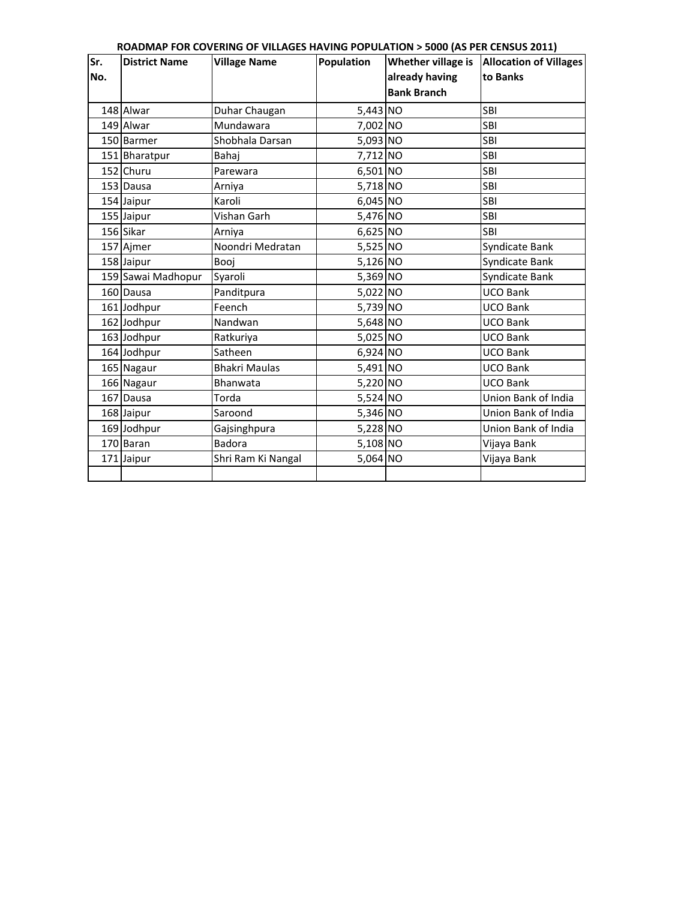| Sr. | <b>District Name</b> | <b>Village Name</b>  | Population | Whether village is | <b>Allocation of Villages</b> |
|-----|----------------------|----------------------|------------|--------------------|-------------------------------|
| No. |                      |                      |            | already having     | to Banks                      |
|     |                      |                      |            | <b>Bank Branch</b> |                               |
|     | 148 Alwar            | Duhar Chaugan        | 5,443 NO   |                    | SBI                           |
|     | 149 Alwar            | Mundawara            | 7,002 NO   |                    | SBI                           |
|     | 150 Barmer           | Shobhala Darsan      | 5,093 NO   |                    | SBI                           |
|     | 151 Bharatpur        | Bahaj                | 7,712 NO   |                    | <b>SBI</b>                    |
|     | 152 Churu            | Parewara             | 6,501 NO   |                    | SBI                           |
|     | 153 Dausa            | Arniya               | 5,718 NO   |                    | SBI                           |
|     | 154 Jaipur           | Karoli               | 6,045 NO   |                    | <b>SBI</b>                    |
|     | 155 Jaipur           | Vishan Garh          | 5,476 NO   |                    | SBI                           |
|     | 156 Sikar            | Arniya               | 6,625 NO   |                    | <b>SBI</b>                    |
|     | 157 Ajmer            | Noondri Medratan     | 5,525 NO   |                    | Syndicate Bank                |
|     | 158 Jaipur           | Booj                 | 5,126 NO   |                    | Syndicate Bank                |
|     | 159 Sawai Madhopur   | Syaroli              | 5,369 NO   |                    | Syndicate Bank                |
|     | 160 Dausa            | Panditpura           | 5,022 NO   |                    | <b>UCO Bank</b>               |
|     | 161 Jodhpur          | Feench               | 5,739 NO   |                    | <b>UCO Bank</b>               |
|     | 162 Jodhpur          | Nandwan              | 5,648 NO   |                    | <b>UCO Bank</b>               |
|     | 163 Jodhpur          | Ratkuriya            | 5,025 NO   |                    | <b>UCO Bank</b>               |
|     | 164 Jodhpur          | Satheen              | 6,924 NO   |                    | <b>UCO Bank</b>               |
|     | 165 Nagaur           | <b>Bhakri Maulas</b> | 5,491 NO   |                    | <b>UCO Bank</b>               |
|     | 166 Nagaur           | Bhanwata             | 5,220 NO   |                    | <b>UCO Bank</b>               |
|     | 167 Dausa            | Torda                | 5,524 NO   |                    | Union Bank of India           |
|     | 168 Jaipur           | Saroond              | 5,346 NO   |                    | Union Bank of India           |
|     | 169 Jodhpur          | Gajsinghpura         | 5,228 NO   |                    | Union Bank of India           |
|     | 170 Baran            | <b>Badora</b>        | 5,108 NO   |                    | Vijaya Bank                   |
|     | 171 Jaipur           | Shri Ram Ki Nangal   | 5,064 NO   |                    | Vijaya Bank                   |
|     |                      |                      |            |                    |                               |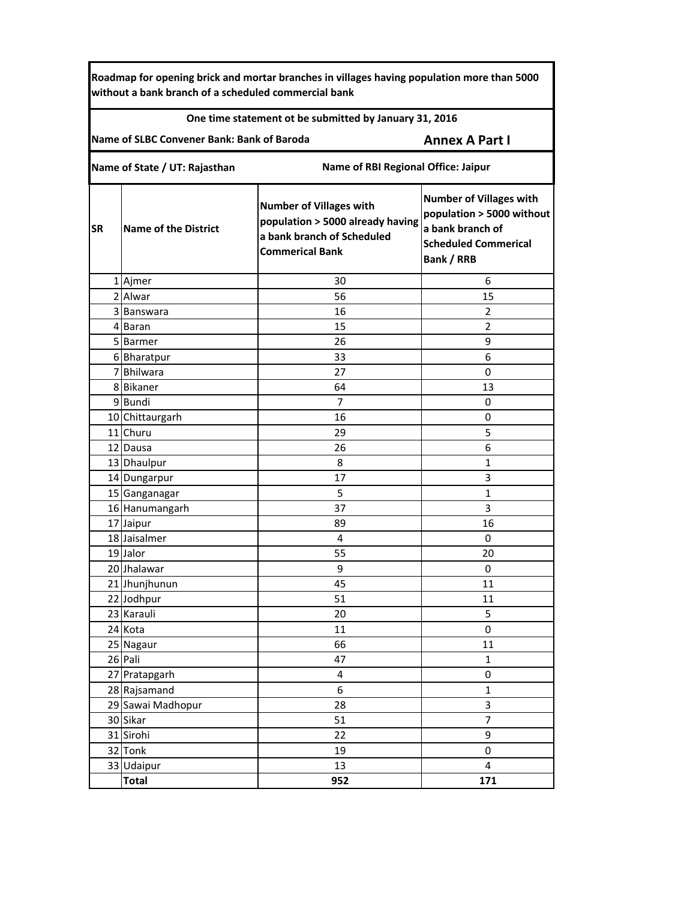**Roadmap for opening brick and mortar branches in villages having population more than 5000 without a bank branch of a scheduled commercial bank**

#### **One time statement ot be submitted by January 31, 2016**

**Name of SLBC Convener Bank: Bank of Baroda**

### **Annex A Part I**

**Name of State / UT: Rajasthan Name of RBI Regional Office: Jaipur**

| <b>SR</b> | <b>Name of the District</b> | <b>Number of Villages with</b><br>population > 5000 already having<br>a bank branch of Scheduled<br><b>Commerical Bank</b> | <b>Number of Villages with</b><br>population > 5000 without<br>a bank branch of<br><b>Scheduled Commerical</b><br><b>Bank / RRB</b> |  |
|-----------|-----------------------------|----------------------------------------------------------------------------------------------------------------------------|-------------------------------------------------------------------------------------------------------------------------------------|--|
|           | 1 Ajmer                     | 30                                                                                                                         | 6                                                                                                                                   |  |
|           | 2 Alwar                     | 56                                                                                                                         | 15                                                                                                                                  |  |
|           | 3 Banswara                  | 16                                                                                                                         | $\overline{2}$                                                                                                                      |  |
|           | 4 Baran                     | 15                                                                                                                         | $\overline{2}$                                                                                                                      |  |
|           | 5 Barmer                    | 26                                                                                                                         | 9                                                                                                                                   |  |
|           | 6 Bharatpur                 | 33                                                                                                                         | 6                                                                                                                                   |  |
|           | 7Bhilwara                   | 27                                                                                                                         | $\mathbf 0$                                                                                                                         |  |
|           | 8 Bikaner                   | 64                                                                                                                         | 13                                                                                                                                  |  |
|           | 9Bundi                      | 7                                                                                                                          | 0                                                                                                                                   |  |
|           | 10 Chittaurgarh             | 16                                                                                                                         | 0                                                                                                                                   |  |
|           | 11 Churu                    | 29                                                                                                                         | 5                                                                                                                                   |  |
|           | 12 Dausa                    | 26                                                                                                                         | 6                                                                                                                                   |  |
|           | 13 Dhaulpur                 | 8                                                                                                                          | $\mathbf{1}$                                                                                                                        |  |
|           | 14 Dungarpur                | 17                                                                                                                         | 3                                                                                                                                   |  |
|           | 15 Ganganagar               | 5                                                                                                                          | $\mathbf{1}$                                                                                                                        |  |
|           | 16 Hanumangarh              | 37                                                                                                                         | 3                                                                                                                                   |  |
|           | 17 Jaipur                   | 89                                                                                                                         | 16                                                                                                                                  |  |
|           | 18 Jaisalmer                | 4                                                                                                                          | $\mathbf 0$                                                                                                                         |  |
|           | 19 Jalor                    | 55                                                                                                                         | 20                                                                                                                                  |  |
|           | 20 Jhalawar                 | 9                                                                                                                          | $\mathbf 0$                                                                                                                         |  |
|           | 21 Jhunjhunun               | 45                                                                                                                         | 11                                                                                                                                  |  |
|           | 22 Jodhpur                  | 51                                                                                                                         | 11                                                                                                                                  |  |
|           | 23 Karauli                  | 20                                                                                                                         | 5                                                                                                                                   |  |
|           | 24 Kota                     | 11                                                                                                                         | $\mathbf 0$                                                                                                                         |  |
|           | 25 Nagaur                   | 66                                                                                                                         | 11                                                                                                                                  |  |
|           | 26 Pali                     | 47                                                                                                                         | 1                                                                                                                                   |  |
|           | 27 Pratapgarh               | 4                                                                                                                          | 0                                                                                                                                   |  |
|           | 28 Rajsamand                | 6                                                                                                                          | 1                                                                                                                                   |  |
|           | 29 Sawai Madhopur           | 28                                                                                                                         | 3                                                                                                                                   |  |
|           | 30 Sikar                    | 51                                                                                                                         | $\overline{7}$                                                                                                                      |  |
|           | 31 Sirohi                   | 22                                                                                                                         | $\boldsymbol{9}$                                                                                                                    |  |
|           | 32 Tonk                     | 19                                                                                                                         | $\pmb{0}$                                                                                                                           |  |
|           | 33 Udaipur                  | 13                                                                                                                         | $\overline{4}$                                                                                                                      |  |
|           | <b>Total</b>                | 952                                                                                                                        | 171                                                                                                                                 |  |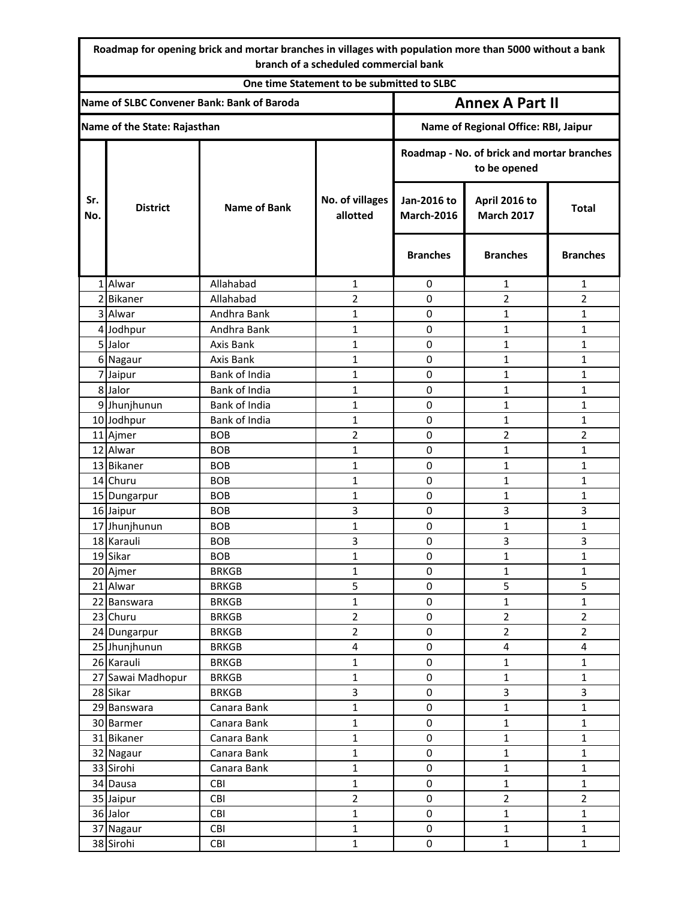**Roadmap for opening brick and mortar branches in villages with population more than 5000 without a bank branch of a scheduled commercial bank**

| One time Statement to be submitted to SLBC |                         |                             |                                |                                                            |                                    |                                |  |
|--------------------------------------------|-------------------------|-----------------------------|--------------------------------|------------------------------------------------------------|------------------------------------|--------------------------------|--|
| Name of SLBC Convener Bank: Bank of Baroda |                         |                             |                                | <b>Annex A Part II</b>                                     |                                    |                                |  |
| Name of the State: Rajasthan               |                         |                             |                                | Name of Regional Office: RBI, Jaipur                       |                                    |                                |  |
|                                            |                         |                             |                                | Roadmap - No. of brick and mortar branches<br>to be opened |                                    |                                |  |
| Sr.<br>No.                                 | <b>District</b>         | <b>Name of Bank</b>         | No. of villages<br>allotted    | Jan-2016 to<br><b>March-2016</b>                           | April 2016 to<br><b>March 2017</b> | <b>Total</b>                   |  |
|                                            |                         |                             |                                | <b>Branches</b>                                            | <b>Branches</b>                    | <b>Branches</b>                |  |
|                                            | 1 Alwar                 | Allahabad                   | 1                              | 0                                                          | $\mathbf{1}$                       | 1                              |  |
|                                            | 2 Bikaner               | Allahabad                   | $\overline{2}$                 | $\mathbf 0$                                                | $\overline{2}$                     | $\overline{2}$                 |  |
|                                            | 3 Alwar                 | Andhra Bank                 | 1                              | 0                                                          | $\mathbf{1}$                       | 1                              |  |
|                                            | 4 Jodhpur               | Andhra Bank                 | 1                              | 0                                                          | $\mathbf{1}$                       | $\mathbf{1}$                   |  |
|                                            | 5 Jalor                 | Axis Bank                   | 1                              | $\mathbf 0$                                                | 1                                  | 1                              |  |
|                                            | 6 Nagaur                | Axis Bank                   | 1                              | $\boldsymbol{0}$                                           | 1                                  | 1                              |  |
|                                            | 7 Jaipur                | Bank of India               | 1                              | $\mathbf 0$                                                | $\mathbf{1}$                       | $\mathbf{1}$                   |  |
|                                            | 8 Jalor                 | Bank of India               | 1                              | $\boldsymbol{0}$                                           | 1                                  | $\mathbf{1}$                   |  |
|                                            | 9 Jhunjhunun            | Bank of India               | 1                              | 0                                                          | $\mathbf{1}$                       | $\mathbf{1}$                   |  |
|                                            | 10 Jodhpur              | Bank of India               | 1                              | $\mathbf 0$                                                | $\mathbf{1}$                       | 1                              |  |
|                                            | 11 Ajmer                | <b>BOB</b>                  | $\overline{2}$                 | $\mathbf 0$                                                | $\overline{2}$                     | $\overline{2}$                 |  |
|                                            | 12 Alwar                | <b>BOB</b>                  | 1                              | 0                                                          | $\mathbf{1}$                       | 1                              |  |
|                                            | 13 Bikaner              | <b>BOB</b>                  | 1                              | $\mathbf 0$                                                | $\mathbf{1}$                       | $\mathbf{1}$                   |  |
|                                            | 14 Churu                | <b>BOB</b>                  | 1                              | $\mathbf 0$                                                | 1                                  | 1                              |  |
|                                            | 15 Dungarpur            | <b>BOB</b>                  | 1                              | $\boldsymbol{0}$                                           | $\mathbf{1}$                       | 1                              |  |
|                                            | 16 Jaipur               | <b>BOB</b>                  | 3                              | $\mathbf 0$                                                | 3                                  | 3                              |  |
|                                            | 17 Jhunjhunun           | <b>BOB</b>                  | 1                              | $\mathbf 0$                                                | $\mathbf{1}$                       | 1                              |  |
|                                            | 18 Karauli              | <b>BOB</b>                  | 3                              | $\boldsymbol{0}$                                           | 3                                  | 3                              |  |
|                                            | 19 Sikar                | <b>BOB</b>                  | 1                              | $\mathbf 0$                                                | 1                                  | $\mathbf{1}$                   |  |
|                                            | 20 Ajmer                | <b>BRKGB</b>                | 1                              | $\boldsymbol{0}$                                           | 1                                  | 1                              |  |
|                                            | 21 Alwar                | <b>BRKGB</b>                | 5                              | O                                                          | 5                                  | 5                              |  |
|                                            | 22 Banswara             | <b>BRKGB</b>                | $\mathbf{1}$                   | $\pmb{0}$                                                  | $\mathbf{1}$                       | $\mathbf{1}$                   |  |
|                                            | 23 Churu                | <b>BRKGB</b>                | $\overline{2}$                 | $\pmb{0}$                                                  | $\overline{2}$                     | $\overline{2}$                 |  |
|                                            | 24 Dungarpur            | <b>BRKGB</b>                | $\overline{2}$                 | $\pmb{0}$                                                  | $\overline{2}$                     | $\overline{2}$                 |  |
|                                            | 25 Jhunjhunun           | <b>BRKGB</b>                | 4                              | $\pmb{0}$                                                  | $\overline{4}$                     | 4                              |  |
|                                            | 26 Karauli              | <b>BRKGB</b>                | $\mathbf{1}$                   | $\pmb{0}$                                                  | $\mathbf{1}$                       | $\mathbf{1}$                   |  |
|                                            | 27 Sawai Madhopur       | <b>BRKGB</b>                | $\mathbf{1}$<br>$\overline{3}$ | $\pmb{0}$                                                  | $\mathbf{1}$<br>$\overline{3}$     | $\mathbf{1}$<br>$\overline{3}$ |  |
|                                            | 28 Sikar                | <b>BRKGB</b><br>Canara Bank | $\mathbf{1}$                   | $\pmb{0}$                                                  | $\mathbf{1}$                       | $\mathbf{1}$                   |  |
|                                            | 29 Banswara             | Canara Bank                 | $\mathbf 1$                    | $\pmb{0}$<br>$\pmb{0}$                                     | $\mathbf 1$                        | $\mathbf 1$                    |  |
|                                            | 30 Barmer<br>31 Bikaner | Canara Bank                 | $\mathbf{1}$                   | $\pmb{0}$                                                  | $\mathbf{1}$                       | $\mathbf{1}$                   |  |
|                                            | 32 Nagaur               | Canara Bank                 | $\mathbf{1}$                   | $\mathbf 0$                                                | $\mathbf{1}$                       | $\mathbf{1}$                   |  |
|                                            | 33 Sirohi               | Canara Bank                 | $\mathbf{1}$                   | $\pmb{0}$                                                  | $\mathbf{1}$                       | $\mathbf{1}$                   |  |
|                                            | 34 Dausa                | CBI                         | $\mathbf{1}$                   | $\pmb{0}$                                                  | $\mathbf{1}$                       | $\mathbf 1$                    |  |
|                                            | 35 Jaipur               | CBI                         | $\overline{2}$                 | $\pmb{0}$                                                  | $\overline{2}$                     | $\overline{2}$                 |  |
|                                            | 36 Jalor                | CBI                         | $\mathbf{1}$                   | $\mathbf 0$                                                | $\mathbf 1$                        | $\mathbf{1}$                   |  |
|                                            | 37 Nagaur               | CBI                         | $\mathbf{1}$                   | $\pmb{0}$                                                  | $\mathbf{1}$                       | $\mathbf{1}$                   |  |
|                                            | 38 Sirohi               | CBI                         | $\mathbf 1$                    | $\pmb{0}$                                                  | $\mathbf{1}$                       | $\mathbf 1$                    |  |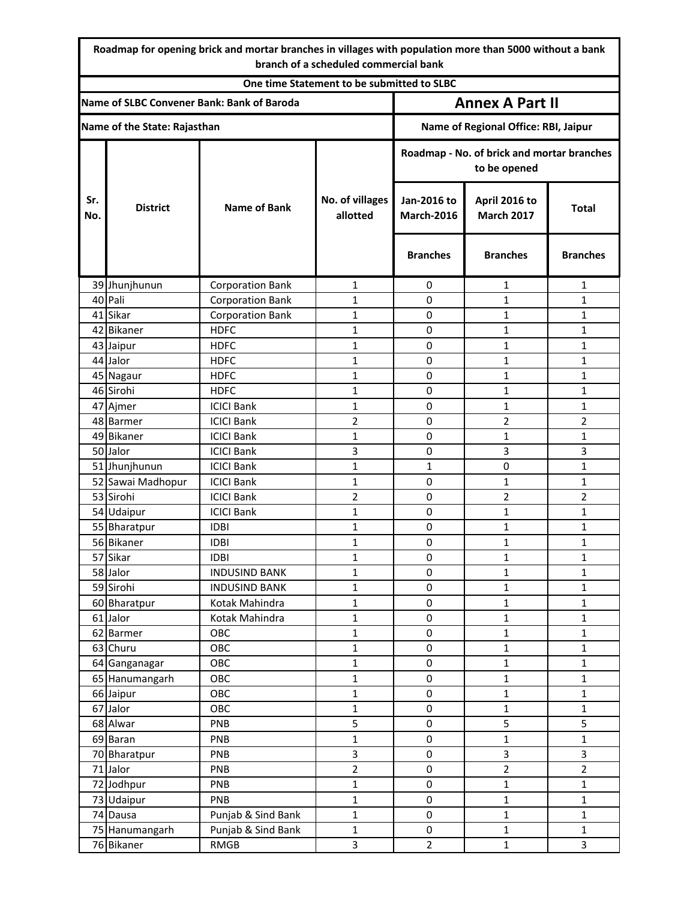**Roadmap for opening brick and mortar branches in villages with population more than 5000 without a bank branch of a scheduled commercial bank**

| One time Statement to be submitted to SLBC |                   |                         |                                                            |                                      |                                    |                         |  |
|--------------------------------------------|-------------------|-------------------------|------------------------------------------------------------|--------------------------------------|------------------------------------|-------------------------|--|
| Name of SLBC Convener Bank: Bank of Baroda |                   |                         |                                                            | <b>Annex A Part II</b>               |                                    |                         |  |
| Name of the State: Rajasthan               |                   |                         |                                                            | Name of Regional Office: RBI, Jaipur |                                    |                         |  |
|                                            |                   |                         | Roadmap - No. of brick and mortar branches<br>to be opened |                                      |                                    |                         |  |
| Sr.<br>No.                                 | <b>District</b>   | <b>Name of Bank</b>     | No. of villages<br>allotted                                | Jan-2016 to<br><b>March-2016</b>     | April 2016 to<br><b>March 2017</b> | <b>Total</b>            |  |
|                                            |                   |                         |                                                            | <b>Branches</b>                      | <b>Branches</b>                    | <b>Branches</b>         |  |
|                                            | 39 Jhunjhunun     | <b>Corporation Bank</b> | 1                                                          | 0                                    | 1                                  | 1                       |  |
|                                            | 40 Pali           | <b>Corporation Bank</b> | $\mathbf{1}$                                               | 0                                    | 1                                  | 1                       |  |
|                                            | 41 Sikar          | <b>Corporation Bank</b> | $\mathbf 1$                                                | 0                                    | 1                                  | $\mathbf{1}$            |  |
|                                            | 42 Bikaner        | <b>HDFC</b>             | 1                                                          | 0                                    | 1                                  | 1                       |  |
|                                            | 43 Jaipur         | <b>HDFC</b>             | 1                                                          | 0                                    | $\mathbf{1}$                       | $\mathbf{1}$            |  |
|                                            | 44 Jalor          | <b>HDFC</b>             | $\mathbf{1}$                                               | $\pmb{0}$                            | $\mathbf{1}$                       | 1                       |  |
|                                            | 45 Nagaur         | <b>HDFC</b>             | $\mathbf 1$                                                | 0                                    | 1                                  | $\mathbf{1}$            |  |
|                                            | 46 Sirohi         | <b>HDFC</b>             | $\mathbf{1}$                                               | 0                                    | $\mathbf{1}$                       | 1                       |  |
|                                            | 47 Ajmer          | <b>ICICI Bank</b>       | $\mathbf{1}$                                               | 0                                    | $\mathbf 1$                        | $\mathbf{1}$            |  |
|                                            | 48 Barmer         | <b>ICICI Bank</b>       | $\overline{2}$                                             | 0                                    | $\overline{2}$                     | $\overline{2}$          |  |
|                                            | 49 Bikaner        | <b>ICICI Bank</b>       | $\mathbf{1}$                                               | 0                                    | 1                                  | 1                       |  |
|                                            | 50 Jalor          | <b>ICICI Bank</b>       | 3                                                          | 0                                    | 3                                  | 3                       |  |
|                                            | 51 Jhunjhunun     | <b>ICICI Bank</b>       | 1                                                          | 1                                    | 0                                  | 1                       |  |
|                                            | 52 Sawai Madhopur | <b>ICICI Bank</b>       | 1                                                          | 0                                    | 1                                  | 1                       |  |
|                                            | 53 Sirohi         | <b>ICICI Bank</b>       | $\overline{2}$                                             | $\pmb{0}$                            | $\overline{2}$                     | $\overline{2}$          |  |
|                                            | 54 Udaipur        | <b>ICICI Bank</b>       | $\mathbf{1}$                                               | 0                                    | 1                                  | 1                       |  |
|                                            | 55 Bharatpur      | <b>IDBI</b>             | $\mathbf 1$                                                | $\boldsymbol{0}$                     | $\mathbf{1}$                       | 1                       |  |
|                                            | 56 Bikaner        | <b>IDBI</b>             | $\mathbf{1}$                                               | 0                                    | $\mathbf{1}$                       | $\mathbf{1}$            |  |
|                                            | 57 Sikar          | <b>IDBI</b>             | $\mathbf{1}$                                               | 0                                    | 1                                  | $\mathbf{1}$            |  |
|                                            | 58 Jalor          | <b>INDUSIND BANK</b>    | $\mathbf{1}$                                               | 0                                    | 1                                  | $\mathbf{1}$            |  |
|                                            | 59 Sirohi         | <b>INDUSIND BANK</b>    | 1                                                          | 0                                    | 1                                  | $\mathbf{1}$            |  |
|                                            | 60 Bharatpur      | Kotak Mahindra          | $\mathbf{1}$                                               | $\mathbf 0$                          | $\mathbf{1}$                       | $\mathbf{1}$            |  |
|                                            | 61 Jalor          | Kotak Mahindra          | $\mathbf{1}$                                               | 0                                    | $\mathbf{1}$                       | $\mathbf{1}$            |  |
|                                            | 62 Barmer         | OBC                     | $\mathbf{1}$                                               | $\pmb{0}$                            | $\mathbf 1$                        | $\mathbf{1}$            |  |
|                                            | 63 Churu          | OBC                     | $\mathbf 1$                                                | 0                                    | $\mathbf{1}$                       | $\mathbf{1}$            |  |
|                                            | 64 Ganganagar     | OBC                     | $\mathbf{1}$                                               | 0                                    | $\mathbf{1}$                       | $\mathbf{1}$            |  |
|                                            | 65 Hanumangarh    | OBC                     | $\mathbf{1}$                                               | 0                                    | $\mathbf{1}$                       | $\mathbf{1}$            |  |
|                                            | 66 Jaipur         | OBC                     | $\mathbf{1}$                                               | 0                                    | $\mathbf{1}$                       | $\mathbf{1}$            |  |
|                                            | 67 Jalor          | OBC                     | $\mathbf{1}$                                               | $\pmb{0}$                            | $\mathbf{1}$                       | $\mathbf{1}$            |  |
|                                            | 68 Alwar          | PNB                     | 5                                                          | $\pmb{0}$                            | 5                                  | 5                       |  |
|                                            | 69 Baran          | PNB                     | $\mathbf{1}$                                               | 0                                    | $\mathbf{1}$                       | $\mathbf{1}$            |  |
|                                            | 70 Bharatpur      | <b>PNB</b>              | 3                                                          | 0                                    | $\overline{\mathbf{3}}$            | $\overline{3}$          |  |
|                                            | 71 Jalor          | PNB                     | $\overline{2}$                                             | $\pmb{0}$                            | $\overline{2}$                     | $\overline{2}$          |  |
|                                            | 72 Jodhpur        | PNB                     | $\mathbf 1$                                                | 0                                    | $\mathbf{1}$                       | $\mathbf{1}$            |  |
|                                            | 73 Udaipur        | PNB                     | $\mathbf{1}$                                               | 0                                    | $\mathbf{1}$                       | $\mathbf{1}$            |  |
|                                            | 74 Dausa          | Punjab & Sind Bank      | $\mathbf{1}$                                               | 0                                    | $\mathbf{1}$                       | $\mathbf{1}$            |  |
|                                            | 75 Hanumangarh    | Punjab & Sind Bank      | $\mathbf{1}$                                               | 0                                    | $\mathbf{1}$                       | $\mathbf{1}$            |  |
|                                            | 76 Bikaner        | <b>RMGB</b>             | $\overline{\mathbf{3}}$                                    | $\overline{2}$                       | $\mathbf 1$                        | $\overline{\mathbf{3}}$ |  |